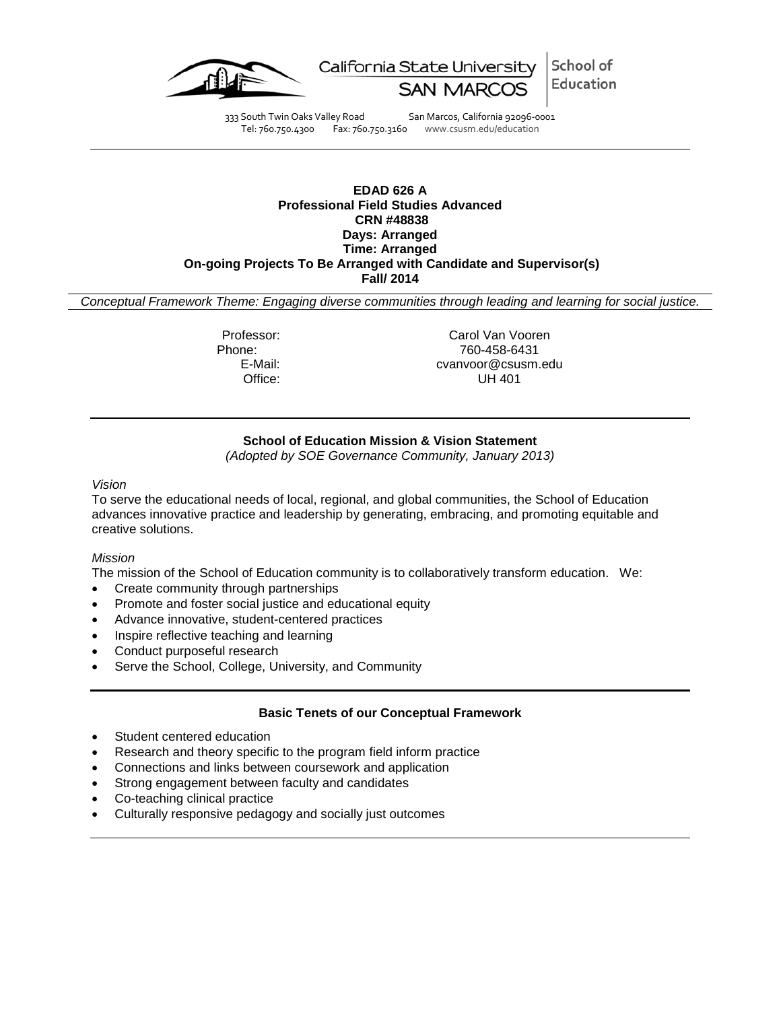

School of California State University Education

333 South Twin Oaks Valley Road San Marcos, California 92096-0001 Tel: 760.750.4300 Fax: 760.750.3160 www.csusm.edu/education

## **EDAD 626 A Professional Field Studies Advanced CRN #48838 Days: Arranged Time: Arranged On-going Projects To Be Arranged with Candidate and Supervisor(s) Fall/ 2014**

*Conceptual Framework Theme: Engaging diverse communities through leading and learning for social justice.*

Professor: Carol Van Vooren<br>Phone: 760-458-6431 Phone: 760-458-6431 E-Mail: cvanvoor@csusm.edu **UH 401** 

# **School of Education Mission & Vision Statement**

*(Adopted by SOE Governance Community, January 2013)*

## *Vision*

To serve the educational needs of local, regional, and global communities, the School of Education advances innovative practice and leadership by generating, embracing, and promoting equitable and creative solutions.

## *Mission*

The mission of the School of Education community is to collaboratively transform education. We:

- Create community through partnerships
- Promote and foster social justice and educational equity
- Advance innovative, student-centered practices
- Inspire reflective teaching and learning
- Conduct purposeful research
- Serve the School, College, University, and Community

## **Basic Tenets of our Conceptual Framework**

- Student centered education
- Research and theory specific to the program field inform practice
- Connections and links between coursework and application
- Strong engagement between faculty and candidates
- Co-teaching clinical practice
- Culturally responsive pedagogy and socially just outcomes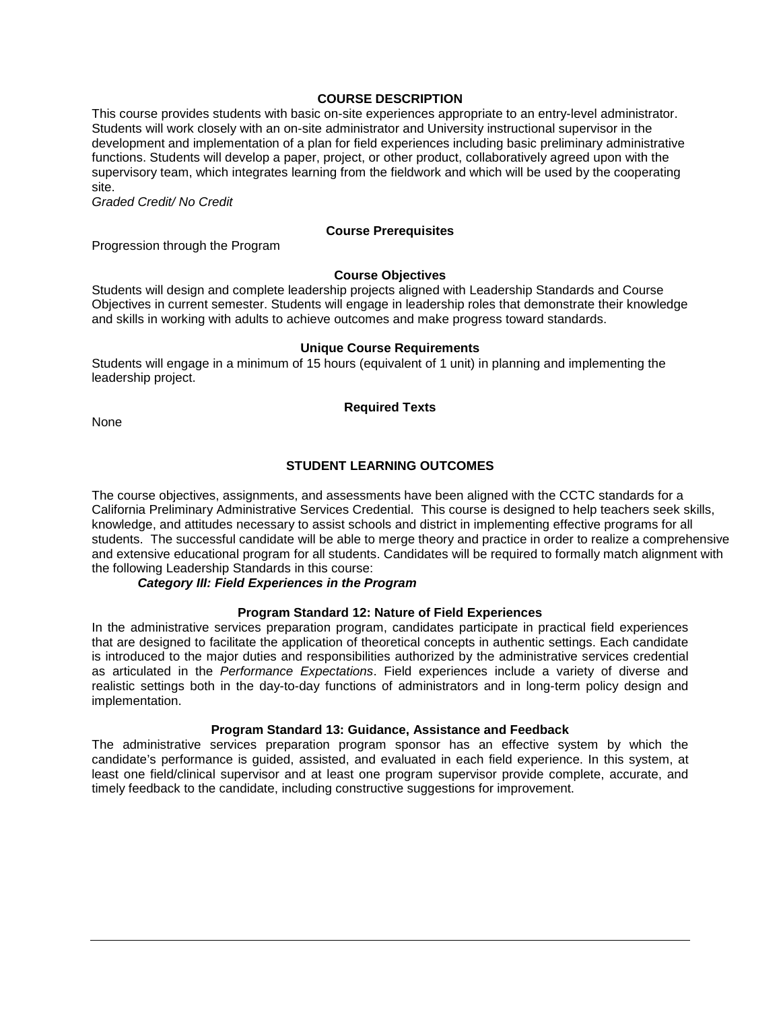## **COURSE DESCRIPTION**

This course provides students with basic on-site experiences appropriate to an entry-level administrator. Students will work closely with an on-site administrator and University instructional supervisor in the development and implementation of a plan for field experiences including basic preliminary administrative functions. Students will develop a paper, project, or other product, collaboratively agreed upon with the supervisory team, which integrates learning from the fieldwork and which will be used by the cooperating site.

*Graded Credit/ No Credit*

## **Course Prerequisites**

Progression through the Program

#### **Course Objectives**

Students will design and complete leadership projects aligned with Leadership Standards and Course Objectives in current semester. Students will engage in leadership roles that demonstrate their knowledge and skills in working with adults to achieve outcomes and make progress toward standards.

#### **Unique Course Requirements**

Students will engage in a minimum of 15 hours (equivalent of 1 unit) in planning and implementing the leadership project.

#### **Required Texts**

None

## **STUDENT LEARNING OUTCOMES**

The course objectives, assignments, and assessments have been aligned with the CCTC standards for a California Preliminary Administrative Services Credential. This course is designed to help teachers seek skills, knowledge, and attitudes necessary to assist schools and district in implementing effective programs for all students. The successful candidate will be able to merge theory and practice in order to realize a comprehensive and extensive educational program for all students. Candidates will be required to formally match alignment with the following Leadership Standards in this course:

## *Category III: Field Experiences in the Program*

## **Program Standard 12: Nature of Field Experiences**

In the administrative services preparation program, candidates participate in practical field experiences that are designed to facilitate the application of theoretical concepts in authentic settings. Each candidate is introduced to the major duties and responsibilities authorized by the administrative services credential as articulated in the *Performance Expectations*. Field experiences include a variety of diverse and realistic settings both in the day-to-day functions of administrators and in long-term policy design and implementation.

#### **Program Standard 13: Guidance, Assistance and Feedback**

The administrative services preparation program sponsor has an effective system by which the candidate's performance is guided, assisted, and evaluated in each field experience. In this system, at least one field/clinical supervisor and at least one program supervisor provide complete, accurate, and timely feedback to the candidate, including constructive suggestions for improvement.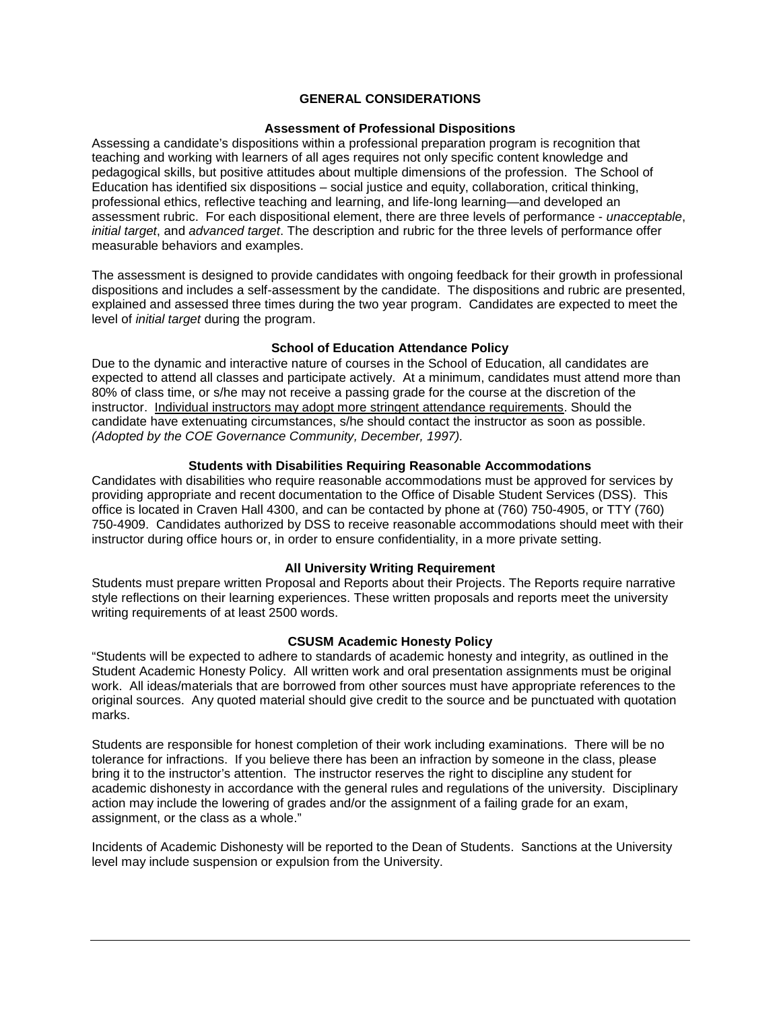## **GENERAL CONSIDERATIONS**

#### **Assessment of Professional Dispositions**

Assessing a candidate's dispositions within a professional preparation program is recognition that teaching and working with learners of all ages requires not only specific content knowledge and pedagogical skills, but positive attitudes about multiple dimensions of the profession. The School of Education has identified six dispositions – social justice and equity, collaboration, critical thinking, professional ethics, reflective teaching and learning, and life-long learning—and developed an assessment rubric. For each dispositional element, there are three levels of performance - *unacceptable*, *initial target*, and *advanced target*. The description and rubric for the three levels of performance offer measurable behaviors and examples.

The assessment is designed to provide candidates with ongoing feedback for their growth in professional dispositions and includes a self-assessment by the candidate. The dispositions and rubric are presented, explained and assessed three times during the two year program. Candidates are expected to meet the level of *initial target* during the program.

## **School of Education Attendance Policy**

Due to the dynamic and interactive nature of courses in the School of Education, all candidates are expected to attend all classes and participate actively. At a minimum, candidates must attend more than 80% of class time, or s/he may not receive a passing grade for the course at the discretion of the instructor. Individual instructors may adopt more stringent attendance requirements. Should the candidate have extenuating circumstances, s/he should contact the instructor as soon as possible. *(Adopted by the COE Governance Community, December, 1997).*

#### **Students with Disabilities Requiring Reasonable Accommodations**

Candidates with disabilities who require reasonable accommodations must be approved for services by providing appropriate and recent documentation to the Office of Disable Student Services (DSS). This office is located in Craven Hall 4300, and can be contacted by phone at (760) 750-4905, or TTY (760) 750-4909. Candidates authorized by DSS to receive reasonable accommodations should meet with their instructor during office hours or, in order to ensure confidentiality, in a more private setting.

#### **All University Writing Requirement**

Students must prepare written Proposal and Reports about their Projects. The Reports require narrative style reflections on their learning experiences. These written proposals and reports meet the university writing requirements of at least 2500 words.

#### **CSUSM Academic Honesty Policy**

"Students will be expected to adhere to standards of academic honesty and integrity, as outlined in the Student Academic Honesty Policy. All written work and oral presentation assignments must be original work. All ideas/materials that are borrowed from other sources must have appropriate references to the original sources. Any quoted material should give credit to the source and be punctuated with quotation marks.

Students are responsible for honest completion of their work including examinations. There will be no tolerance for infractions. If you believe there has been an infraction by someone in the class, please bring it to the instructor's attention. The instructor reserves the right to discipline any student for academic dishonesty in accordance with the general rules and regulations of the university. Disciplinary action may include the lowering of grades and/or the assignment of a failing grade for an exam, assignment, or the class as a whole."

Incidents of Academic Dishonesty will be reported to the Dean of Students. Sanctions at the University level may include suspension or expulsion from the University.